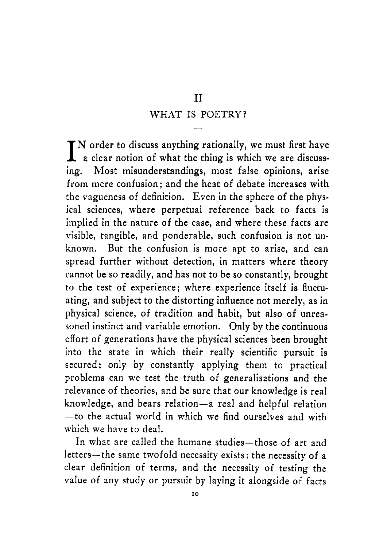## **WHAT** IS POETRY?

IN order to discuss anything rationally, we must first have<br>a clear notion of what the thing is which we are discuss-<br>ing. Most misunderstandings, most false opinions, arise Most misunderstandings, most false opinions, arise from mere confusion; and the heat of debate increases with the vagueness of definition. Even in the sphere of the physical sciences, where perpetual reference back to facts is implied in the nature of the case, and where these facts are visible, tangible, and ponderable, such confusion is not unknown. But the confusion is more apt to arise, and can spread further without detection, in matters where theory cannot be so readily, and has not to be so constantly, brought to the test of experience; where experience itself is fluctuating, and subject to the distorting influence not merely, as in physical science, of tradition and habit, but also of unreasoned instinct and variable emotion. Only by the continuous effort of generations have the physical sciences been brought into the state in which their really scientific pursuit is secured; only by constantly applying them to practical problems can we test the truth of generalisations and the relevance of theories, and be sure that our knowledge is real knowledge, and bears relation-a real and helpful relation -to the actual world in which we find ourselves and with which we have to deal.

In what are called the humane studies-those of art and letters-the same twofold necessity exists: the necessity of a clear definition of terms, and the necessity of testing the value of any study or pursuit by laying it alongside of facts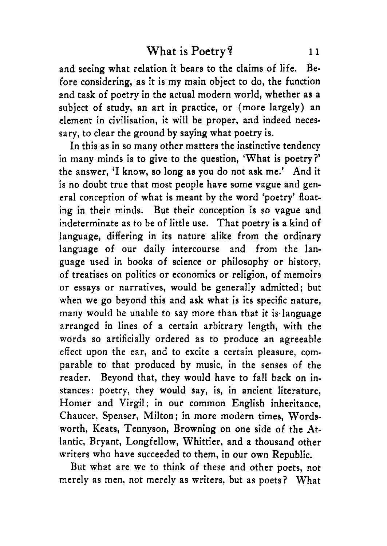and seeing what relation it bears to the claims of life. Before considering, as it is my main object to do, the function and task of poetry in the actual modern world, whether as **a**  subject **of** study, an art in practice, or (more largely) an element in civilisation, it will be proper, and indeed necessary, to clear the ground by saying what poetry is.

In this as in so many other matters the instinctive tendency in many minds is to give to the question, 'What is poetry?' the answer, 'I know, so long as you do not ask me.' And it is no doubt true that most people have some vague and general conception of what is meant by the word 'poetry' floating in their minds. But their conception is so vague and indeterminate as to be of little use. That poetry is a kind of language, differing in its nature alike from the ordinary language of our daily intercourse and from the language used in **books** of science or philosophy or history, of treatises on politics or economics or religion, of memoirs or essays or narratives, would be generally admitted; but when we go beyond this and ask what is its specific nature, many would be unable to say more than that it is language arranged in lines of a certain arbitrary length, with the words so artificially ordered as to produce an agreeable effect upon the ear, and to excite a certain pleasure, comparable to that produced by music, in the senses of the reader. Beyond that, they would have to fall back on instances: poetry, they would say, is, in ancient literature. Homer and Virgil; in our common English inheritance, Chaucer, Spenser, Milton; in more modern times, Wordsworth, Keats, Tennyson, Browning on one side of the Atlantic, Bryant, Longfellow, Whittier, and a thousand other writers who have succeeded to them, in our own Republic.

But what are we to think of these and other poets, not merely as men, not merely as writers, but as poets? What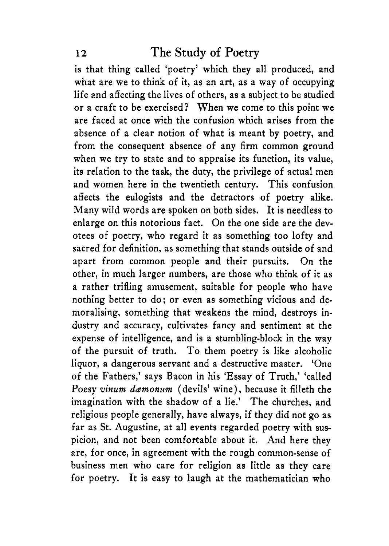is that thing called 'poetry' which they all produced, and what are we to think of it, as an art, as a way of occupying life and affecting the lives of others, as a subject to be studied or a craft to be exercised? When we come to this point we are faced at once with the confusion which arises from the absence of a clear notion of what is meant by poetry, and from the consequent absence of any firm common ground when we try to state and to appraise its function, its value, its relation to the task, the duty, the privilege of actual men and women here in the twentieth century. This confusion affects the eulogists and the detractors of poetry alike. Many wild words are spoken on both sides. It is needless to enlarge on this notorious fact. On the one side are the devotees of poetry, who regard it as something too lofty and sacred for definition, as something that stands outside of and apart from common people and their pursuits. On the other, in much larger numbers, are those who think of it as a rather trifling amusement, suitable for people who have nothing better to do; or even as something vicious and demoralising, something that weakens the mind, destroys industry and accuracy, cultivates fancy and sentiment at the expense of intelligence, and is a stumbling-block in the way of the pursuit of truth. To them poetry is like alcoholic liquor, a dangerous servant and a destructive master. 'One of the Fathers,' says Bacon in his 'Essay of Truth,' 'called Poesy vinum *damonum* (devils' wine), because it filleth the imagination with the shadow of a lie.' The churches, and religious people generally, have always, if they did not go as far as St. Augustine, at all events regarded poetry with suspicion, and not been comfortable about it. And here they are, for once, in agreement with the rough common-sense of business men who care for religion as little as they care for poetry. It is easy to laugh at the mathematician who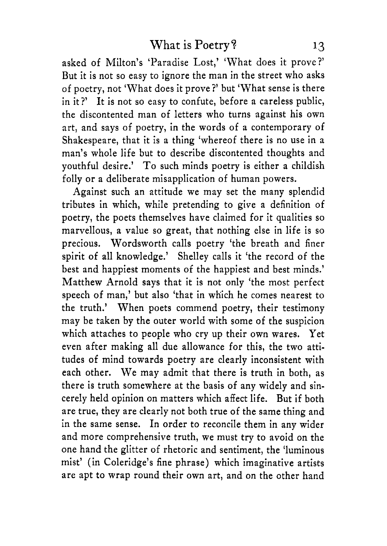asked of Milton's 'Paradise Lost,' 'What does it prove?' But it is not so easy to ignore the man in the street who asks of poetry, not 'What does it prove?' but 'What sense is there in it ?' It is not so easy to confute, before a careless public, the discontented man of letters who turns against his own art, and says of poetry, in the words of a contemporary of Shakespeare, that it is a thing 'whereof there is no use in a man's whole life but to describe discontented thoughts and youthful desire.' To such minds poetry is either a childish folly or a deliberate misapplication of human powers.

Against such an attitude we may set the many splendid tributes in which, while pretending to give a definition of poetry, the poets themselves have claimed for it qualities so marvellous, a value so great, that nothing else in life is so precious. Wordsworth calls poetry 'the breath and finer spirit of all knowledge.' Shelley calls it 'the record of the best and happiest moments of the happiest and best minds.' Matthew Arnold says that it is not only 'the most perfect speech of man,' but also 'that in which he comes nearest to the truth.' When poets commend poetry, their testimony may be taken by the outer world with some of the suspicion which attaches to people who cry up their own wares. Yet even after making all due allowance for this, the two attitudes of mind towards poetry are clearly inconsistent with each other. We may admit that there is truth in both, as there is truth somewhere at the basis of any widely and sincerely held opinion on matters which affect life. But if both are true, they are clearly not both true of the same thing and in the same sense. **In** order to reconcile them in any wider and more comprehensive truth, we must try to avoid on the one hand the glitter of rhetoric and sentiment, the 'luminous mist' (in Coleridge's fine phrase) which imaginative artists are apt to wrap round their own art, and on the other hand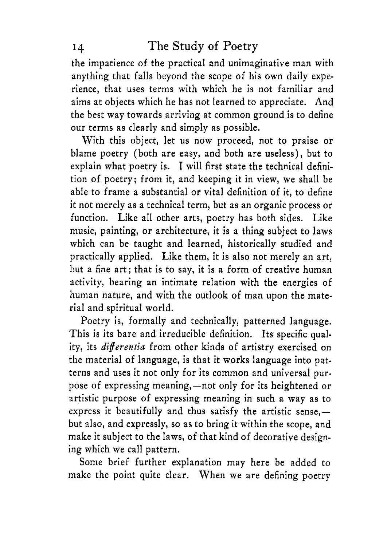the impatience of the practical and unimaginative man with anything that falls beyond the scope of his own daily experience, that uses terms with which he is not familiar and aims at objects which he has not learned to appreciate. And the best way towards arriving at common ground is to define our terms as clearly and simply as possible.

With this object, let us now proceed, not to praise or blame poetry (both are easy, and both are useless), but to explain what poetry is. I will first state the technical definition of poetry; from it, and keeping it in view, we shall be able to frame a substantial or vital definition of it, to define it not merely as a technical term, but as an organic process or function. Like all other arts, poetry has both sides. Like music, painting, or architecture, it is a thing subject to laws which can be taught and learned, historically studied and practically applied. Like them, it is also not merely an art, but a fine art; that is to say, it is a form of creative human activity, bearing an intimate relation with the energies of human nature, and with the outlook of man upon the material and spiritual world.

Poetry is, formally and technically, patterned language. This is its bare and irreducible definition. Its specific quality, its *diferentia* from other kinds of artistry exercised on the material of language, is that it works language into patterns and uses it not only for its common and universal purpose of expressing meaning,—not only for its heightened or artistic purpose of expressing meaning in such a way as to express it beautifully and thus satisfy the artistic sense. $$ but also, and expressly, so as to bring it within the scope, and make it subject to the laws, of that kind of decorative designing which we call pattern.

Some brief further explanation may here be added to make the point quite clear. When we are defining poetry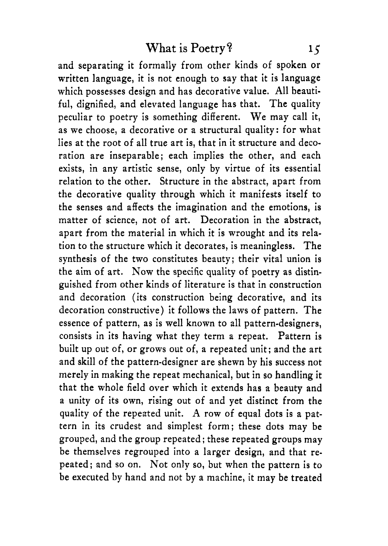and separating it formally from other kinds of spoken or written language, it is not enough to say that it is language which possesses design and has decorative value. All beautiful, dignified, and elevated language has that. The quality peculiar to poetry is something different. We may call it, as we choose, a decorative or a structural quality: for what lies at the root of all true art is, that in it structure and decoration are inseparable; each implies the other, and each exists, in any artistic sense, only by virtue of its essential relation to the other. Structure in the abstract, apart from the decorative quality through which it manifests itself to the senses and affects the imagination and the emotions, is matter of science, not of art. Decoration in the abstract, apart from the material in which it is wrought and its relation to the structure which it decorates, is meaningless. The synthesis of the two constitutes beauty; their vital union is the aim of art. Now the specific quality of poetry as distinguished from other kinds of literature is that in construction and decoration (its construction being decorative, and its decoration constructive) it follows the laws of pattern. The essence of pattern, as is well known to all pattern-designers, consists in its having what they term a repeat. Pattern is built up out of, or grows out of, a repeated unit; and the art and skill of the pattern-designer are shewn by his success not merely in making the repeat mechanical, but in so handling it that the whole field over which it extends has a beauty and a unity of its own, rising out of and yet distinct from the quality of the repeated unit. **A** row of equal dots is a pattern in its crudest and simplest form; these dots may be grouped, and the group repeated: these repeated groups may be themselves regrouped into a larger design, and that repeated; and so on. Not only so, but when the pattern is to be executed by hand and not by a machine, it may be treated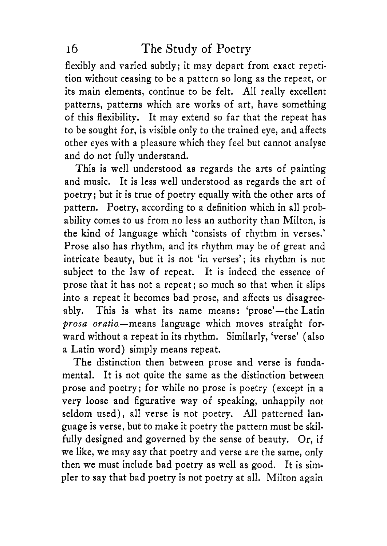## 16 The Study of Poetry

flexibly and varied subtly; it may depart from exact repetition without ceasing to be a pattern so long as the repeat, or its main elements, continue to be felt. All really excellent patterns, patterns which are works of art, have something of this flexibility. It may extend so far that the repeat has to be sought for, is visible only to the trained eye, and affects other eyes with a pleasure which they feel but cannot analyse and do not fully understand.

This is well understood as regards the arts of painting and music. It is less well understood as regards the art of poetry; but it is true of poetry equally with the other arts of pattern. Poetry, according to a definition which in all probability comes to us from no less an authority than Milton, is the kind of language which 'consists of rhythm in verses.' Prose also has rhythm, and its rhythm may be of great and intricate beauty, but it is not 'in verses'; its rhythm is not subject to the law of repeat. It is indeed the essence of prose that it has not a repeat; so much so that when it slips into a repeat it becomes bad prose, and affects us disagreeably. This is what its name means: 'prose'-the Latin *prosa* oratio-means language which moves straight forward without a repeat in its rhythm. Similarly, 'verse' (also a Latin word) simply means repeat.

The distinction then between prose and verse is fundamental. It is not quite the same as the distinction between prose and poetry; for while no prose is poetry (except in a very loose and figurative way of speaking, unhappily not seldom used), all verse is not poetry. All patterned language is verse, but to make it poetry the pattern must be skilfully designed and governed by the sense of beauty. Or, if we like, we may say that poetry and verse are the same, only then we must include bad poetry as well as good. It is simpler to say that bad poetry is not poetry at all. Milton again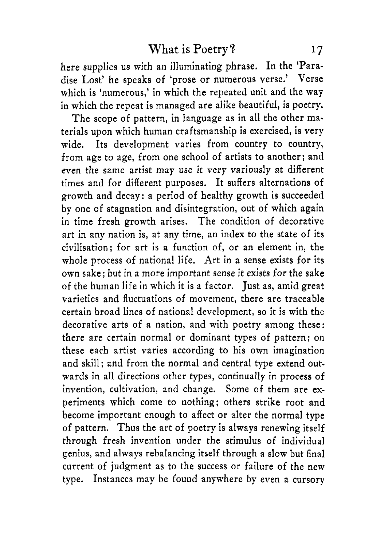here supplies us with an illuminating phrase. In the 'Paradise Lost' he speaks of 'prose or numerous verse.' Verse which is 'numerous,' in which the repeated unit and the way in which the repeat is managed are alike beautiful, is poetry.

The scope of pattern, in language as in all the other materials upon which human craftsmanship is exercised, is very wide. Its development varies from country to country, from age to age, from one school of artists to another; and even the same artist may use it very variously at different times and for different purposes. It suffers alternations of growth and decay: a period of healthy growth is succeeded by one of stagnation and disintegration, out of which again in time fresh growth arises. The condition of decorative art in any nation is, at any time, an index to the state of its civilisation; for art is a function of, or an element in, the whole process of national life. Art in a sense exists for its own sake; but in a more important sense it exists for the sake of the human life in which it is a factor. Just as, amid great varieties and fluctuations of movement, there are traceable certain broad lines of national development, so it is with the decorative arts of a nation, and with poetry among these: there are certain normal or dominant types of pattern; on these each artist varies according to his own imagination and skill; and from the normal and central type extend outwards in all directions other types, continually in process of invention, cultivation, and change. Some of them are experiments which come to nothing; others strike root and become important enough to affect or alter the normal type of pattern. Thus the art of poetry is always renewing itself through fresh invention under the stimulus of individual genius, and always rebalancing itself through a slow but final current of judgment as to the success or failure of the new type. Instances may be found anywhere by even a cursory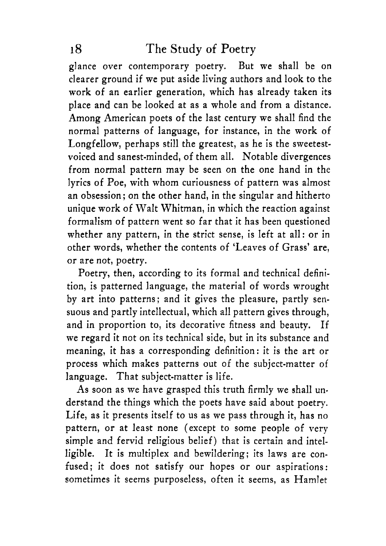glance over contemporary poetry. But we shall be on clearer ground if we put aside living authors and look to the work of an earlier generation, which has already taken its place and can be looked at as a whole and from a distance. Among American poets of the last century we shall find the normal patterns of language, for instance, in the work of Longfellow, perhaps still the greatest, as he is the sweetestvoiced and sanest-minded, of them all. Notable divergences from normal pattern may be seen on the one hand in the lyrics of Poe, with whom curiousness of pattern was almost an obsession; on the other hand, in the singular and hitherto unique work of Walt Whitman, in which the reaction against formalism of pattern went so far that it has been questioned whether any pattern, in the strict sense, is left at all: or in other words, whether the contents of 'Leaves of Grass' are, or are not, poetry.

Poetry, then, according to its formal and technical definition, is patterned language, the material of words wrought by art into patterns; and it gives the pleasure, partly sensuous and partly intellectual, which all pattern gives through, and in proportion to, its decorative fitness and beauty. If we regard it not on its technical side, but in its substance and meaning, it has a corresponding definition: it is the art or process which makes patterns out of the subject-matter of language. That subject-matter is life.

As soon as we have grasped this truth firmly we shall understand the things which the poets have said about poetry. Life, as it presents itself to us as we pass through it, has no pattern, or at least none (except to some people of very simple and fervid religious belief) that is certain and intelligible. It is multiplex and bewildering; its laws are confused; it does not satisfy our hopes or our aspirations: sometimes it seems purposeless, often it seems, as Hamlet